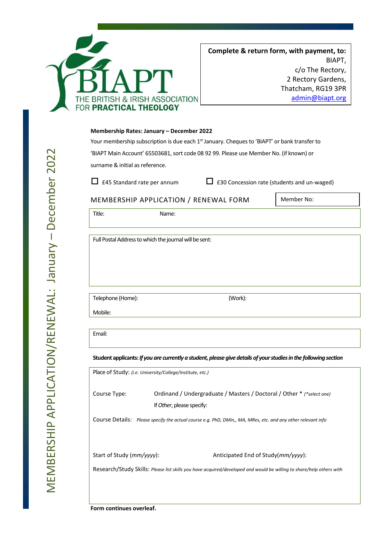

## **Membership Rates: January – December 2022**

Your membership subscription is due each 1<sup>st</sup> January. Cheques to 'BIAPT' or bank transfer to 'BIAPT Main Account' 65503681, sort code 08 92 99. Please use Member No. (if known) or surname & initial as reference.

 $\Box$  £45 Standard rate per annum  $\Box$  £30 Concession rate (students and un-waged)

## MEMBERSHIP APPLICATION / RENEWAL FORM

Member No:

Title: Name:

Full Postal Address to which the journal will be sent:

Telephone (Home): (Work):

Email:

Mobile:

**Student applicants:** *If you are currently a student, please give details of your studies in the following section*

| Place of Study: ( <i>i.e. University/College/Institute, etc.</i> ) |  |  |
|--------------------------------------------------------------------|--|--|
|                                                                    |  |  |
|                                                                    |  |  |
|                                                                    |  |  |
|                                                                    |  |  |
|                                                                    |  |  |
|                                                                    |  |  |
|                                                                    |  |  |

 $\boldsymbol{\sim}$